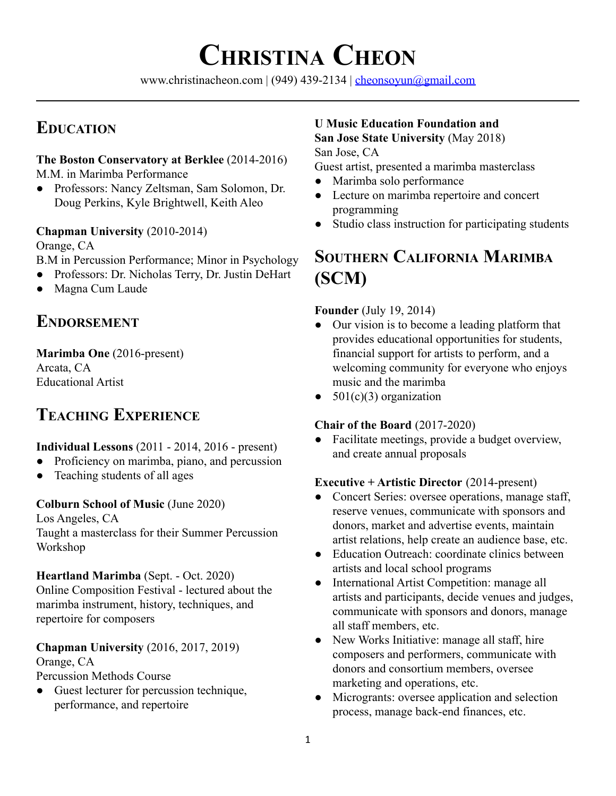# **CHRISTINA CHEON**

www.christinacheon.com | (949) 439-2134 | [cheonsoyun@gmail.com](mailto:cheonsoyun@gmail.com)

# **EDUCATION**

#### **The Boston Conservatory at Berklee** (2014-2016) M.M. in Marimba Performance

● Professors: Nancy Zeltsman, Sam Solomon, Dr. Doug Perkins, Kyle Brightwell, Keith Aleo

# **Chapman University** (2010-2014)

Orange, CA

- B.M in Percussion Performance; Minor in Psychology
- Professors: Dr. Nicholas Terry, Dr. Justin DeHart
- Magna Cum Laude

# **ENDORSEMENT**

# **Marimba One** (2016-present)

Arcata, CA Educational Artist

Workshop

# **TEACHING EXPERIENCE**

# **Individual Lessons** (2011 - 2014, 2016 - present)

- Proficiency on marimba, piano, and percussion
- Teaching students of all ages

# **Colburn School of Music** (June 2020)

Los Angeles, CA Taught a masterclass for their Summer Percussion

**Heartland Marimba** (Sept. - Oct. 2020) Online Composition Festival - lectured about the marimba instrument, history, techniques, and repertoire for composers

#### **Chapman University** (2016, 2017, 2019) Orange, CA

Percussion Methods Course

• Guest lecturer for percussion technique, performance, and repertoire

# **U Music Education Foundation and San Jose State University** (May 2018)

San Jose, CA

Guest artist, presented a marimba masterclass

- Marimba solo performance
- Lecture on marimba repertoire and concert programming
- Studio class instruction for participating students

# **SOUTHERN CALIFORNIA MARIMBA (SCM)**

# **Founder** (July 19, 2014)

- Our vision is to become a leading platform that provides educational opportunities for students, financial support for artists to perform, and a welcoming community for everyone who enjoys music and the marimba
- $\bullet$  501(c)(3) organization

# **Chair of the Board** (2017-2020)

• Facilitate meetings, provide a budget overview, and create annual proposals

# **Executive + Artistic Director** (2014-present)

- **●** Concert Series: oversee operations, manage staff, reserve venues, communicate with sponsors and donors, market and advertise events, maintain artist relations, help create an audience base, etc.
- **●** Education Outreach: coordinate clinics between artists and local school programs
- **●** International Artist Competition: manage all artists and participants, decide venues and judges, communicate with sponsors and donors, manage all staff members, etc.
- **●** New Works Initiative: manage all staff, hire composers and performers, communicate with donors and consortium members, oversee marketing and operations, etc.
- **●** Microgrants: oversee application and selection process, manage back-end finances, etc.